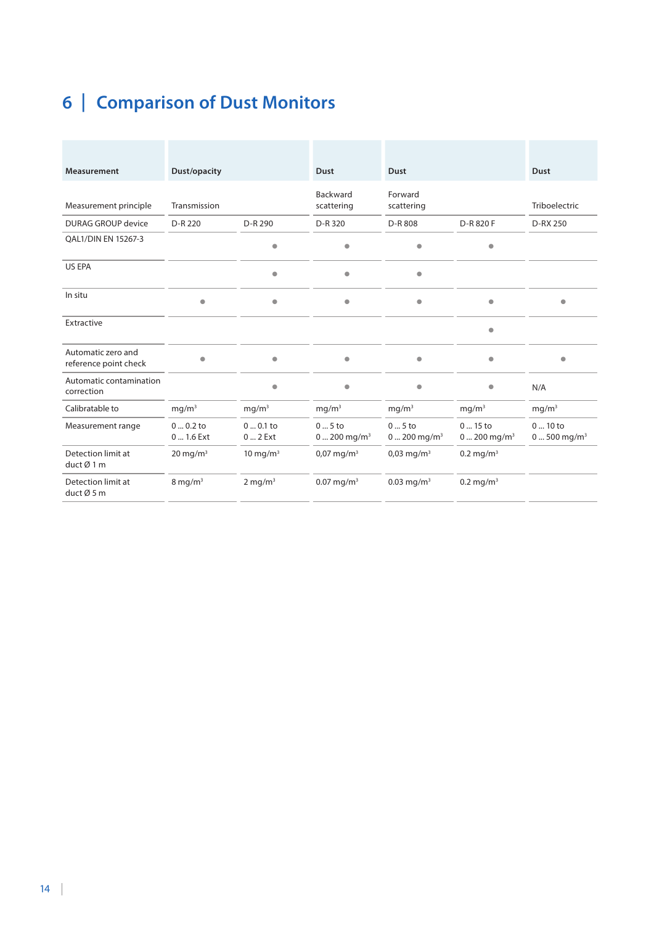## **6 | Comparison of Dust Monitors**

| <b>Measurement</b>                          | Dust/opacity            |                       | <b>Dust</b>                                | <b>Dust</b>                                |                                             | <b>Dust</b>                          |
|---------------------------------------------|-------------------------|-----------------------|--------------------------------------------|--------------------------------------------|---------------------------------------------|--------------------------------------|
| Measurement principle                       | Transmission            |                       | Backward<br>scattering                     | Forward<br>scattering                      |                                             | Triboelectric                        |
| <b>DURAG GROUP device</b>                   | D-R 220                 | D-R 290               | D-R 320                                    | D-R 808                                    | D-R 820 F                                   | D-RX 250                             |
| QAL1/DIN EN 15267-3                         |                         | $\bullet$             | $\bullet$                                  | $\qquad \qquad \bullet$                    | $\bullet$                                   |                                      |
| US EPA                                      |                         | $\bullet$             | $\bullet$                                  | $\bullet$                                  |                                             |                                      |
| In situ                                     | $\bullet$               | $\bullet$             | $\bullet$                                  | $\bullet$                                  | $\bullet$                                   | $\bullet$                            |
| Extractive                                  |                         |                       |                                            |                                            | $\bullet$                                   |                                      |
| Automatic zero and<br>reference point check | $\bullet$               | $\bullet$             | $\bullet$                                  | $\bullet$                                  | $\bullet$                                   | $\bullet$                            |
| Automatic contamination<br>correction       |                         | $\bullet$             | $\bullet$                                  | $\bullet$                                  | $\bullet$                                   | N/A                                  |
| Calibratable to                             | mg/m <sup>3</sup>       | mg/m <sup>3</sup>     | mg/m <sup>3</sup>                          | mg/m <sup>3</sup>                          | mg/m <sup>3</sup>                           |                                      |
| Measurement range                           | $00.2$ to<br>0  1.6 Ext | $00.1$ to<br>$02$ Ext | $05$ to<br>$0 \dots 200$ mg/m <sup>3</sup> | $05$ to<br>$0 \dots 200$ mg/m <sup>3</sup> | $015$ to<br>$0 \dots 200$ mg/m <sup>3</sup> | $010$ to<br>$0500$ mg/m <sup>3</sup> |
| Detection limit at<br>duct Ø1 m             | $20 \text{ mg/m}^3$     | 10 mg/m $3$           | $0.07 \,\mathrm{mg/m^3}$                   | $0.03 \,\mathrm{mg/m^3}$                   | $0.2 \,\mathrm{mg/m^3}$                     |                                      |
| Detection limit at<br>duct Ø 5 m            | $8 \,\mathrm{mg/m^3}$   | $2 \text{ mg/m}^3$    | $0.07 \,\mathrm{mg/m^3}$                   | $0.03$ mg/m <sup>3</sup>                   | $0.2 \,\mathrm{mg/m^3}$                     |                                      |